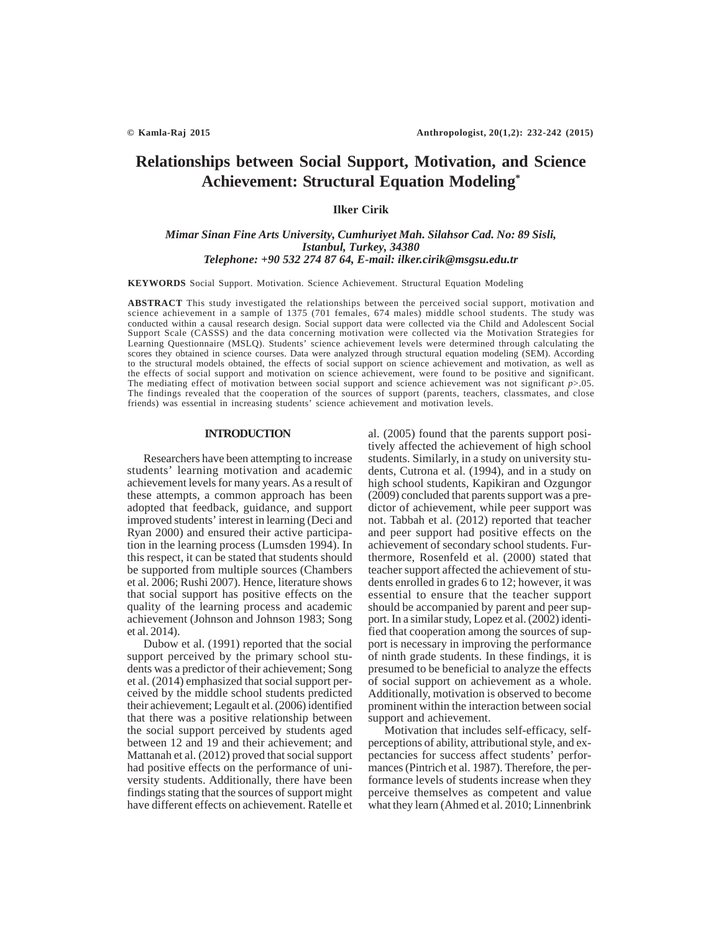# **Relationships between Social Support, Motivation, and Science Achievement: Structural Equation Modeling\***

## **Ilker Cirik**

## *Mimar Sinan Fine Arts University, Cumhuriyet Mah. Silahsor Cad. No: 89 Sisli, Istanbul, Turkey, 34380 Telephone: +90 532 274 87 64, E-mail: ilker.cirik@msgsu.edu.tr*

**KEYWORDS** Social Support. Motivation. Science Achievement. Structural Equation Modeling

**ABSTRACT** This study investigated the relationships between the perceived social support, motivation and science achievement in a sample of 1375 (701 females, 674 males) middle school students. The study was conducted within a causal research design. Social support data were collected via the Child and Adolescent Social Support Scale (CASSS) and the data concerning motivation were collected via the Motivation Strategies for Learning Questionnaire (MSLQ). Students' science achievement levels were determined through calculating the scores they obtained in science courses. Data were analyzed through structural equation modeling (SEM). According to the structural models obtained, the effects of social support on science achievement and motivation, as well as the effects of social support and motivation on science achievement, were found to be positive and significant. The mediating effect of motivation between social support and science achievement was not significant *p*>.05. The findings revealed that the cooperation of the sources of support (parents, teachers, classmates, and close friends) was essential in increasing students' science achievement and motivation levels.

## **INTRODUCTION**

Researchers have been attempting to increase students' learning motivation and academic achievement levels for many years. As a result of these attempts, a common approach has been adopted that feedback, guidance, and support improved students' interest in learning (Deci and Ryan 2000) and ensured their active participation in the learning process (Lumsden 1994). In this respect, it can be stated that students should be supported from multiple sources (Chambers et al. 2006; Rushi 2007). Hence, literature shows that social support has positive effects on the quality of the learning process and academic achievement (Johnson and Johnson 1983; Song et al. 2014).

Dubow et al. (1991) reported that the social support perceived by the primary school students was a predictor of their achievement; Song et al. (2014) emphasized that social support perceived by the middle school students predicted their achievement; Legault et al. (2006) identified that there was a positive relationship between the social support perceived by students aged between 12 and 19 and their achievement; and Mattanah et al. (2012) proved that social support had positive effects on the performance of university students. Additionally, there have been findings stating that the sources of support might have different effects on achievement. Ratelle et al. (2005) found that the parents support positively affected the achievement of high school students. Similarly, in a study on university students, Cutrona et al. (1994), and in a study on high school students, Kapikiran and Ozgungor (2009) concluded that parents support was a predictor of achievement, while peer support was not. Tabbah et al. (2012) reported that teacher and peer support had positive effects on the achievement of secondary school students. Furthermore, Rosenfeld et al. (2000) stated that teacher support affected the achievement of students enrolled in grades 6 to 12; however, it was essential to ensure that the teacher support should be accompanied by parent and peer support. In a similar study, Lopez et al. (2002) identified that cooperation among the sources of support is necessary in improving the performance of ninth grade students. In these findings, it is presumed to be beneficial to analyze the effects of social support on achievement as a whole. Additionally, motivation is observed to become prominent within the interaction between social support and achievement.

Motivation that includes self-efficacy, selfperceptions of ability, attributional style, and expectancies for success affect students' performances (Pintrich et al. 1987). Therefore, the performance levels of students increase when they perceive themselves as competent and value what they learn (Ahmed et al. 2010; Linnenbrink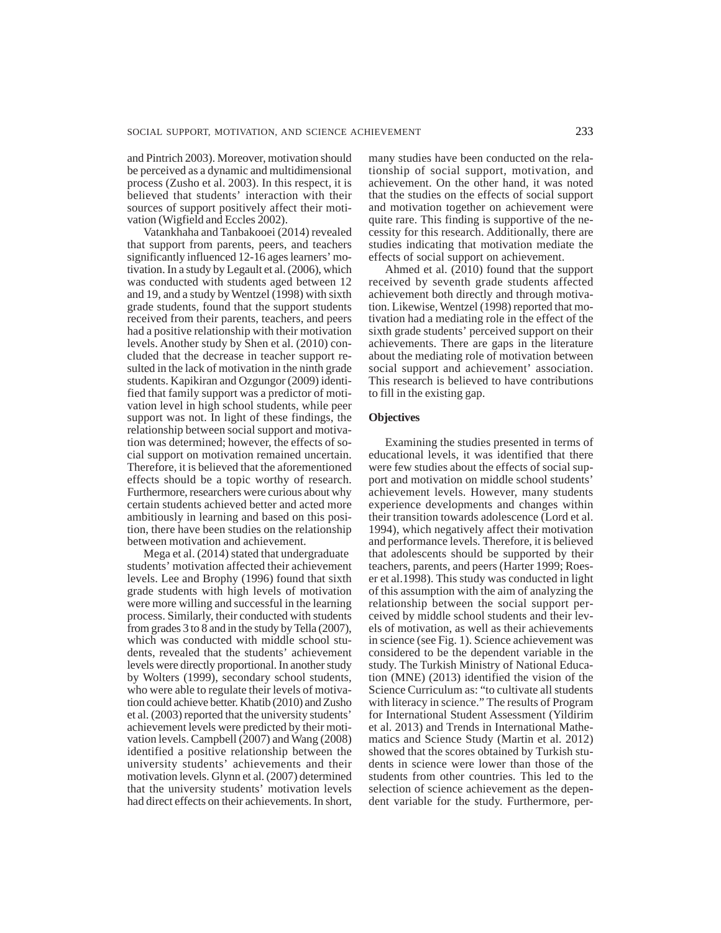and Pintrich 2003). Moreover, motivation should be perceived as a dynamic and multidimensional process (Zusho et al. 2003). In this respect, it is believed that students' interaction with their sources of support positively affect their motivation (Wigfield and Eccles 2002).

Vatankhaha and Tanbakooei (2014) revealed that support from parents, peers, and teachers significantly influenced 12-16 ages learners' motivation. In a study by Legault et al. (2006), which was conducted with students aged between 12 and 19, and a study by Wentzel (1998) with sixth grade students, found that the support students received from their parents, teachers, and peers had a positive relationship with their motivation levels. Another study by Shen et al. (2010) concluded that the decrease in teacher support resulted in the lack of motivation in the ninth grade students. Kapikiran and Ozgungor (2009) identified that family support was a predictor of motivation level in high school students, while peer support was not. In light of these findings, the relationship between social support and motivation was determined; however, the effects of social support on motivation remained uncertain. Therefore, it is believed that the aforementioned effects should be a topic worthy of research. Furthermore, researchers were curious about why certain students achieved better and acted more ambitiously in learning and based on this position, there have been studies on the relationship between motivation and achievement.

Mega et al. (2014) stated that undergraduate students' motivation affected their achievement levels. Lee and Brophy (1996) found that sixth grade students with high levels of motivation were more willing and successful in the learning process. Similarly, their conducted with students from grades 3 to 8 and in the study by Tella (2007), which was conducted with middle school students, revealed that the students' achievement levels were directly proportional. In another study by Wolters (1999), secondary school students, who were able to regulate their levels of motivation could achieve better. Khatib (2010) and Zusho et al. (2003) reported that the university students' achievement levels were predicted by their motivation levels. Campbell (2007) and Wang (2008) identified a positive relationship between the university students' achievements and their motivation levels. Glynn et al. (2007) determined that the university students' motivation levels had direct effects on their achievements. In short,

many studies have been conducted on the relationship of social support, motivation, and achievement. On the other hand, it was noted that the studies on the effects of social support and motivation together on achievement were quite rare. This finding is supportive of the necessity for this research. Additionally, there are studies indicating that motivation mediate the effects of social support on achievement.

Ahmed et al. (2010) found that the support received by seventh grade students affected achievement both directly and through motivation. Likewise, Wentzel (1998) reported that motivation had a mediating role in the effect of the sixth grade students' perceived support on their achievements. There are gaps in the literature about the mediating role of motivation between social support and achievement' association. This research is believed to have contributions to fill in the existing gap.

## **Objectives**

Examining the studies presented in terms of educational levels, it was identified that there were few studies about the effects of social support and motivation on middle school students' achievement levels. However, many students experience developments and changes within their transition towards adolescence (Lord et al. 1994), which negatively affect their motivation and performance levels. Therefore, it is believed that adolescents should be supported by their teachers, parents, and peers (Harter 1999; Roeser et al.1998). This study was conducted in light of this assumption with the aim of analyzing the relationship between the social support perceived by middle school students and their levels of motivation, as well as their achievements in science (see Fig. 1). Science achievement was considered to be the dependent variable in the study. The Turkish Ministry of National Education (MNE) (2013) identified the vision of the Science Curriculum as: "to cultivate all students with literacy in science." The results of Program for International Student Assessment (Yildirim et al. 2013) and Trends in International Mathematics and Science Study (Martin et al. 2012) showed that the scores obtained by Turkish students in science were lower than those of the students from other countries. This led to the selection of science achievement as the dependent variable for the study. Furthermore, per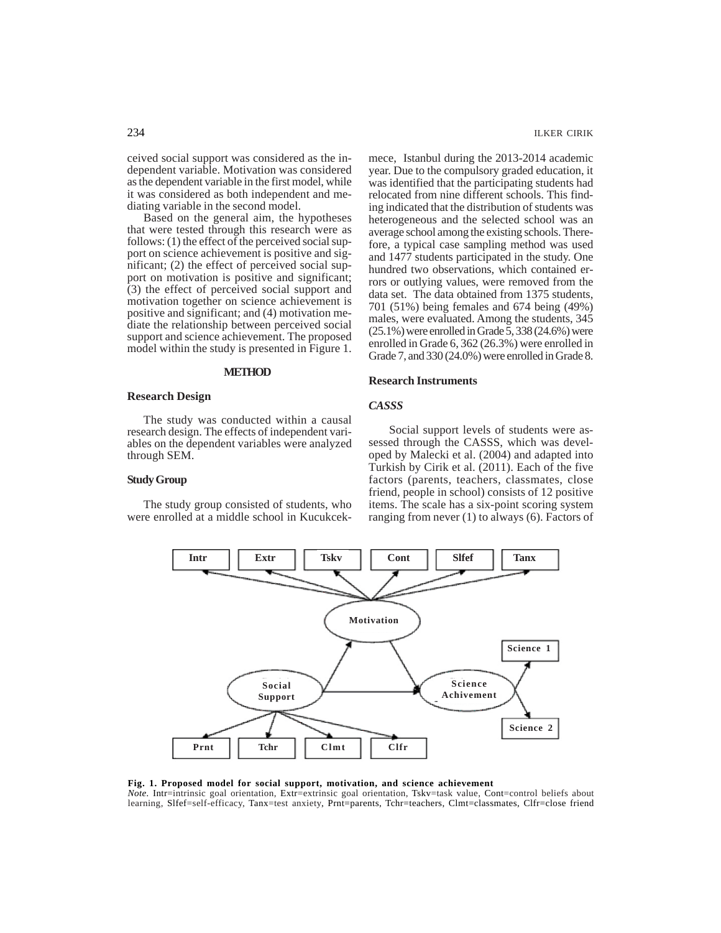ceived social support was considered as the independent variable. Motivation was considered as the dependent variable in the first model, while it was considered as both independent and mediating variable in the second model.

Based on the general aim, the hypotheses that were tested through this research were as follows: (1) the effect of the perceived social support on science achievement is positive and significant; (2) the effect of perceived social support on motivation is positive and significant; (3) the effect of perceived social support and motivation together on science achievement is positive and significant; and (4) motivation mediate the relationship between perceived social support and science achievement. The proposed model within the study is presented in Figure 1.

#### **METHOD**

## **Research Design**

The study was conducted within a causal research design. The effects of independent variables on the dependent variables were analyzed through SEM.

## **Study Group**

The study group consisted of students, who were enrolled at a middle school in Kucukcekmece, Istanbul during the 2013-2014 academic year. Due to the compulsory graded education, it was identified that the participating students had relocated from nine different schools. This finding indicated that the distribution of students was heterogeneous and the selected school was an average school among the existing schools. Therefore, a typical case sampling method was used and 1477 students participated in the study. One hundred two observations, which contained errors or outlying values, were removed from the data set. The data obtained from 1375 students, 701 (51%) being females and 674 being (49%) males, were evaluated. Among the students, 345 (25.1%) were enrolled in Grade 5, 338 (24.6%) were enrolled in Grade 6, 362 (26.3%) were enrolled in Grade 7, and 330 (24.0%) were enrolled in Grade 8.

#### **Research Instruments**

## *CASSS*

 Social support levels of students were assessed through the CASSS, which was developed by Malecki et al. (2004) and adapted into Turkish by Cirik et al. (2011). Each of the five factors (parents, teachers, classmates, close friend, people in school) consists of 12 positive items. The scale has a six-point scoring system ranging from never (1) to always (6). Factors of



#### **Fig. 1. Proposed model for social support, motivation, and science achievement**

*Note.* Intr=intrinsic goal orientation, Extr=extrinsic goal orientation, Tskv=task value, Cont=control beliefs about learning, Slfef=self-efficacy, Tanx=test anxiety, Prnt=parents, Tchr=teachers, Clmt=classmates, Clfr=close friend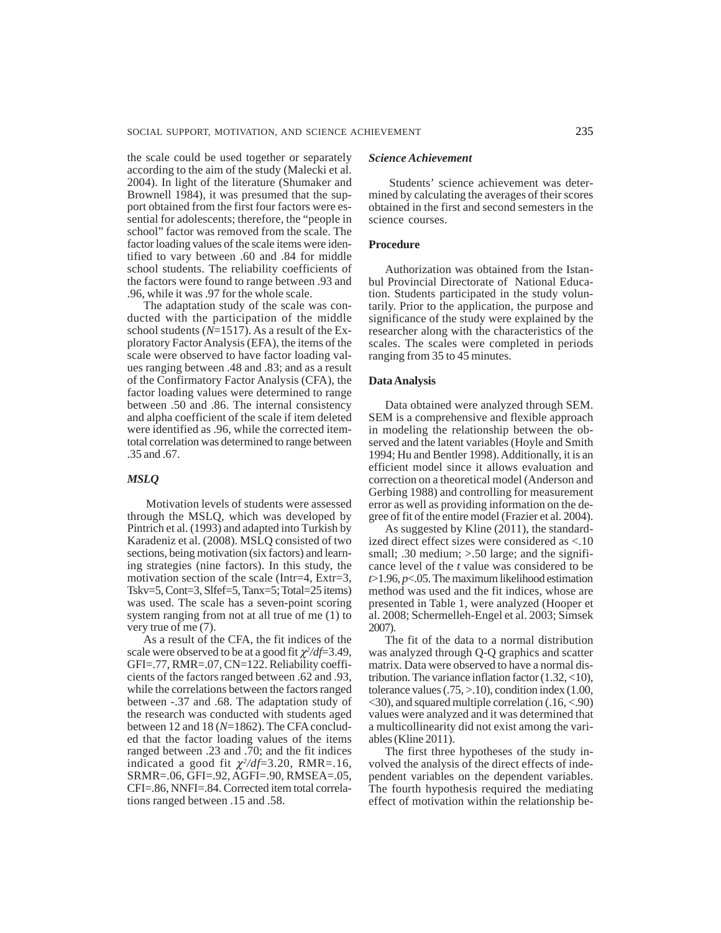the scale could be used together or separately according to the aim of the study (Malecki et al. 2004). In light of the literature (Shumaker and Brownell 1984), it was presumed that the support obtained from the first four factors were essential for adolescents; therefore, the "people in school" factor was removed from the scale. The factor loading values of the scale items were identified to vary between .60 and .84 for middle school students. The reliability coefficients of the factors were found to range between .93 and .96, while it was .97 for the whole scale.

The adaptation study of the scale was conducted with the participation of the middle school students (*N*=1517). As a result of the Exploratory Factor Analysis (EFA), the items of the scale were observed to have factor loading values ranging between .48 and .83; and as a result of the Confirmatory Factor Analysis (CFA), the factor loading values were determined to range between .50 and .86. The internal consistency and alpha coefficient of the scale if item deleted were identified as .96, while the corrected itemtotal correlation was determined to range between .35 and .67.

## *MSLQ*

 Motivation levels of students were assessed through the MSLQ, which was developed by Pintrich et al. (1993) and adapted into Turkish by Karadeniz et al. (2008). MSLQ consisted of two sections, being motivation (six factors) and learning strategies (nine factors). In this study, the motivation section of the scale (Intr=4, Extr=3, Tskv=5, Cont=3, Slfef=5, Tanx=5; Total=25 items) was used. The scale has a seven-point scoring system ranging from not at all true of me (1) to very true of me (7).

As a result of the CFA, the fit indices of the scale were observed to be at a good fit χ*<sup>2</sup> /df*=3.49, GFI=.77, RMR=.07, CN=122. Reliability coefficients of the factors ranged between .62 and .93, while the correlations between the factors ranged between -.37 and .68. The adaptation study of the research was conducted with students aged between 12 and 18 (*N*=1862). The CFA concluded that the factor loading values of the items ranged between .23 and .70; and the fit indices indicated a good fit  $\chi^2/df = 3.20$ , RMR=.16, SRMR=.06, GFI=.92, AGFI=.90, RMSEA=.05, CFI=.86, NNFI=.84. Corrected item total correlations ranged between .15 and .58.

#### *Science Achievement*

 Students' science achievement was determined by calculating the averages of their scores obtained in the first and second semesters in the science courses.

## **Procedure**

Authorization was obtained from the Istanbul Provincial Directorate of National Education. Students participated in the study voluntarily. Prior to the application, the purpose and significance of the study were explained by the researcher along with the characteristics of the scales. The scales were completed in periods ranging from 35 to 45 minutes.

## **Data Analysis**

Data obtained were analyzed through SEM. SEM is a comprehensive and flexible approach in modeling the relationship between the observed and the latent variables (Hoyle and Smith 1994; Hu and Bentler 1998). Additionally, it is an efficient model since it allows evaluation and correction on a theoretical model (Anderson and Gerbing 1988) and controlling for measurement error as well as providing information on the degree of fit of the entire model (Frazier et al. 2004).

As suggested by Kline (2011), the standardized direct effect sizes were considered as <.10 small; .30 medium; >.50 large; and the significance level of the *t* value was considered to be  $t > 1.96$ ,  $p < .05$ . The maximum likelihood estimation method was used and the fit indices, whose are presented in Table 1, were analyzed (Hooper et al. 2008; Schermelleh-Engel et al. 2003; Simsek 2007).

The fit of the data to a normal distribution was analyzed through Q-Q graphics and scatter matrix. Data were observed to have a normal distribution. The variance inflation factor (1.32, <10), tolerance values  $(.75, > .10)$ , condition index  $(1.00,$ <30), and squared multiple correlation (.16, <.90) values were analyzed and it was determined that a multicollinearity did not exist among the variables (Kline 2011).

The first three hypotheses of the study involved the analysis of the direct effects of independent variables on the dependent variables. The fourth hypothesis required the mediating effect of motivation within the relationship be-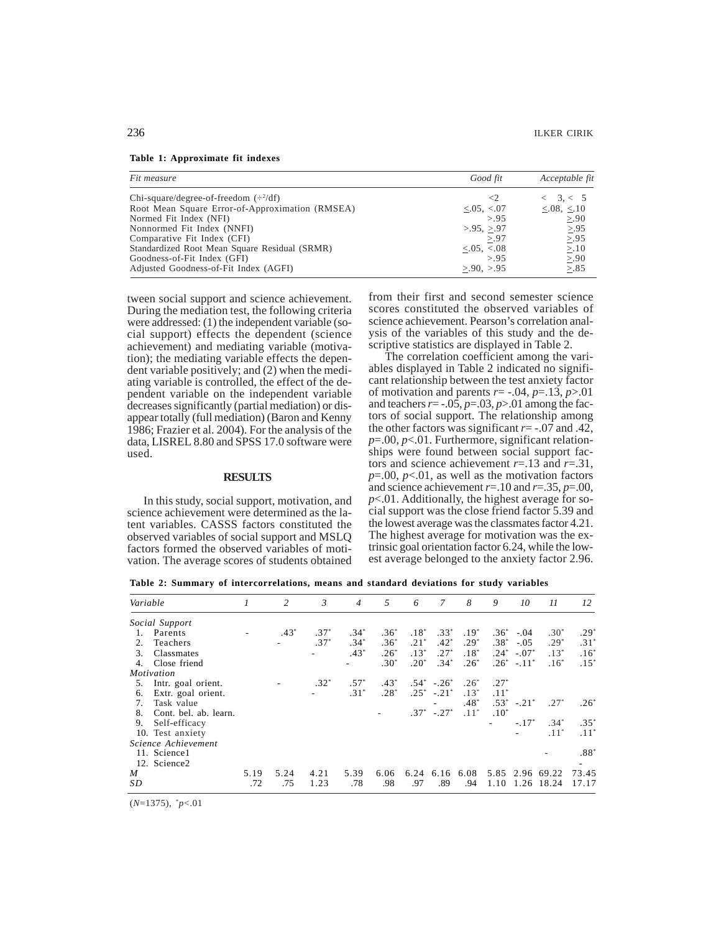|  |  | Table 1: Approximate fit indexes |  |  |
|--|--|----------------------------------|--|--|
|--|--|----------------------------------|--|--|

| Fit measure                                     | Good fit                  | Acceptable fit    |  |  |
|-------------------------------------------------|---------------------------|-------------------|--|--|
| Chi-square/degree-of-freedom $(\div^2/df)$      | $\leq$                    | < 3, < 5          |  |  |
| Root Mean Square Error-of-Approximation (RMSEA) | $\leq 0.05$ , $\leq 0.07$ | $< 0.08$ , $< 10$ |  |  |
| Normed Fit Index (NFI)                          | > 9.5                     | > 0.90            |  |  |
| Nonnormed Fit Index (NNFI)                      | >95, >97                  | > 95              |  |  |
| Comparative Fit Index (CFI)                     | > 0.97                    | > 0.95            |  |  |
| Standardized Root Mean Square Residual (SRMR)   | $< 0.05$ , $< 0.08$       | >10               |  |  |
| Goodness-of-Fit Index (GFI)                     | > 9.5                     | > 90              |  |  |
| Adjusted Goodness-of-Fit Index (AGFI)           | $>90.$ $>95$              | > 85              |  |  |

tween social support and science achievement. During the mediation test, the following criteria were addressed: (1) the independent variable (social support) effects the dependent (science achievement) and mediating variable (motivation); the mediating variable effects the dependent variable positively; and (2) when the mediating variable is controlled, the effect of the dependent variable on the independent variable decreases significantly (partial mediation) or disappear totally (full mediation) (Baron and Kenny 1986; Frazier et al. 2004). For the analysis of the data, LISREL 8.80 and SPSS 17.0 software were used.

#### **RESULTS**

In this study, social support, motivation, and science achievement were determined as the latent variables. CASSS factors constituted the observed variables of social support and MSLQ factors formed the observed variables of motivation. The average scores of students obtained from their first and second semester science scores constituted the observed variables of science achievement. Pearson's correlation analysis of the variables of this study and the descriptive statistics are displayed in Table 2.

The correlation coefficient among the variables displayed in Table 2 indicated no significant relationship between the test anxiety factor of motivation and parents  $r = -.04$ ,  $p = .13$ ,  $p > .01$ and teachers  $r = -.05$ ,  $p = .03$ ,  $p > .01$  among the factors of social support. The relationship among the other factors was significant *r*= -.07 and .42, *p*=.00, *p*<.01. Furthermore, significant relationships were found between social support factors and science achievement *r*=.13 and *r*=.31,  $p=0.00$ ,  $p<0.1$ , as well as the motivation factors and science achievement  $r=10$  and  $r=.35, p=.00,$ *p*<.01. Additionally, the highest average for social support was the close friend factor 5.39 and the lowest average was the classmates factor 4.21. The highest average for motivation was the extrinsic goal orientation factor 6.24, while the lowest average belonged to the anxiety factor 2.96.

**Table 2: Summary of intercorrelations, means and standard deviations for study variables**

| Variable |                       | $\mathcal{I}$ | 2      | $\mathfrak{Z}$ | $\overline{4}$ | .5     | 6      | 7                | 8      | 9       | 10                | 11         | 12            |
|----------|-----------------------|---------------|--------|----------------|----------------|--------|--------|------------------|--------|---------|-------------------|------------|---------------|
|          | Social Support        |               |        |                |                |        |        |                  |        |         |                   |            |               |
| 1.       | Parents               |               | $.43*$ | $.37*$         | $.34*$         | $.36*$ | $.18*$ | $.33*$           | $.19*$ | $.36^*$ | $-.04$            | $.30*$     | $.29*$        |
| 2.       | Teachers              |               |        | $.37*$         | $.34*$         | $.36*$ | $.21*$ | $.42*$           | $.29*$ | $.38*$  | $-.05$            | $.29*$     | $.31*$        |
| 3.       | Classmates            |               |        |                | $.43*$         | $.26*$ | $.13*$ | $.27*$           | $.18*$ | $.24*$  | $-.07*$           | $.13*$     | $.16^{\circ}$ |
| 4.       | Close friend          |               |        |                |                | $.30*$ | $.20*$ | $.34*$           | $.26*$ |         | $.26^*$ - $.11^*$ | $.16*$     | $.15^{\circ}$ |
|          | Motivation            |               |        |                |                |        |        |                  |        |         |                   |            |               |
| 5.       | Intr. goal orient.    |               |        | $.32*$         | $.57*$         | $.43*$ |        | $.54^*$ $-.26^*$ | $.26*$ | $.27*$  |                   |            |               |
| 6.       | Extr. goal orient.    |               |        |                | $.31*$         | $.28*$ | $.25*$ | $-.21*$          | $.13*$ | $.11*$  |                   |            |               |
| 7.       | Task value            |               |        |                |                |        |        |                  | $.48*$ | $.53*$  | $-.21*$           | $.27*$     | $.26*$        |
| 8.       | Cont. bel. ab. learn. |               |        |                |                |        | $.37*$ | $-.27*$          | $.11*$ | $.10*$  |                   |            |               |
| 9.       | Self-efficacy         |               |        |                |                |        |        |                  |        |         | $-.17*$           | $.34*$     | $.35*$        |
|          | 10. Test anxiety      |               |        |                |                |        |        |                  |        |         |                   | $.11*$     | $.11*$        |
|          | Science Achievement   |               |        |                |                |        |        |                  |        |         |                   |            |               |
|          | 11. Science1          |               |        |                |                |        |        |                  |        |         |                   |            | $.88*$        |
|          | 12. Science2          |               |        |                |                |        |        |                  |        |         |                   |            |               |
| M        |                       | 5.19          | 5.24   | 4.21           | 5.39           | 6.06   | 6.24   | 6.16             | 6.08   | 5.85    |                   | 2.96 69.22 | 73.45         |
| SD       |                       | .72           | .75    | 1.23           | .78            | .98    | .97    | .89              | .94    | 1.10    | 1.26              | 18.24      | 17.17         |

<sup>(</sup>*N*=1375), \* *p*<.01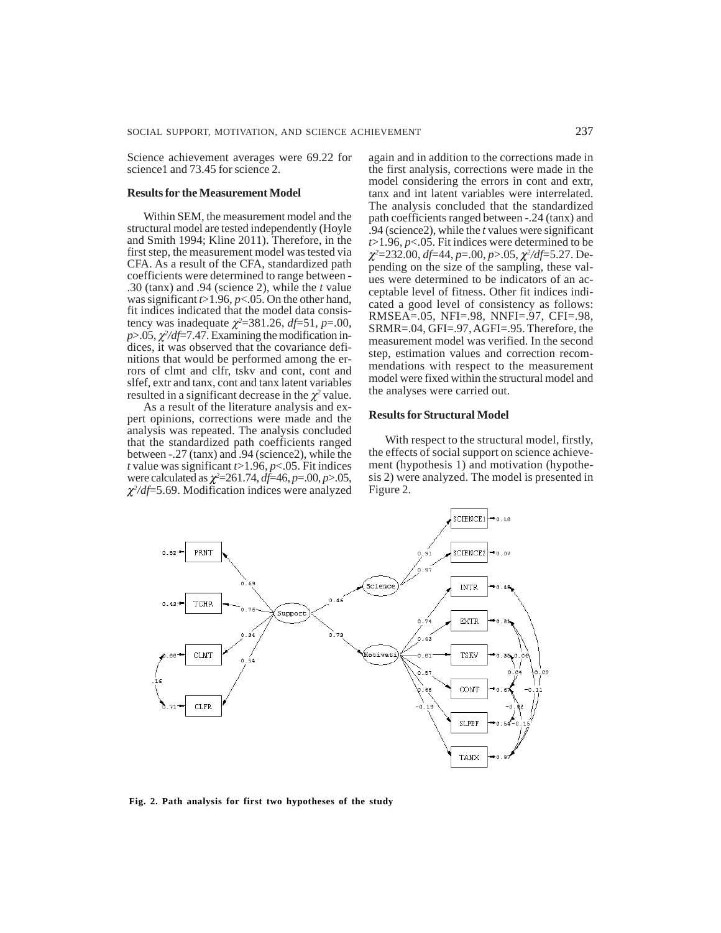Science achievement averages were 69.22 for science1 and 73.45 for science 2.

#### **Results for the Measurement Model**

Within SEM, the measurement model and the structural model are tested independently (Hoyle and Smith 1994; Kline 2011). Therefore, in the first step, the measurement model was tested via CFA. As a result of the CFA, standardized path coefficients were determined to range between - .30 (tanx) and .94 (science 2), while the *t* value was significant *t*>1.96, *p*<.05. On the other hand, fit indices indicated that the model data consistency was inadequate  $\chi^2$ =381.26, *df*=51, *p*=.00,  $p$ >.05,  $\chi^2/df$ =7.47. Examining the modification indices, it was observed that the covariance definitions that would be performed among the errors of clmt and clfr, tskv and cont, cont and slfef, extr and tanx, cont and tanx latent variables resulted in a significant decrease in the  $\chi^2$  value.

As a result of the literature analysis and expert opinions, corrections were made and the analysis was repeated. The analysis concluded that the standardized path coefficients ranged between -.27 (tanx) and .94 (science2), while the *t* value was significant *t*>1.96, *p*<.05. Fit indices were calculated as χ*<sup>2</sup>* =261.74, *df*=46, *p*=.00, *p*>.05, χ*2 /df*=5.69. Modification indices were analyzed

again and in addition to the corrections made in the first analysis, corrections were made in the model considering the errors in cont and extr, tanx and int latent variables were interrelated. The analysis concluded that the standardized path coefficients ranged between -.24 (tanx) and .94 (science2), while the *t* values were significant *t*>1.96, *p*<.05. Fit indices were determined to be χ*2* =232.00, *df*=44, *p*=.00, *p*>.05, χ*<sup>2</sup> /df*=5.27. Depending on the size of the sampling, these values were determined to be indicators of an acceptable level of fitness. Other fit indices indicated a good level of consistency as follows: RMSEA=.05, NFI=.98, NNFI=.97, CFI=.98, SRMR=.04, GFI=.97, AGFI=.95. Therefore, the measurement model was verified. In the second step, estimation values and correction recommendations with respect to the measurement model were fixed within the structural model and the analyses were carried out.

## **Results for Structural Model**

With respect to the structural model, firstly, the effects of social support on science achievement (hypothesis 1) and motivation (hypothesis 2) were analyzed. The model is presented in Figure 2.



**Fig. 2. Path analysis for first two hypotheses of the study**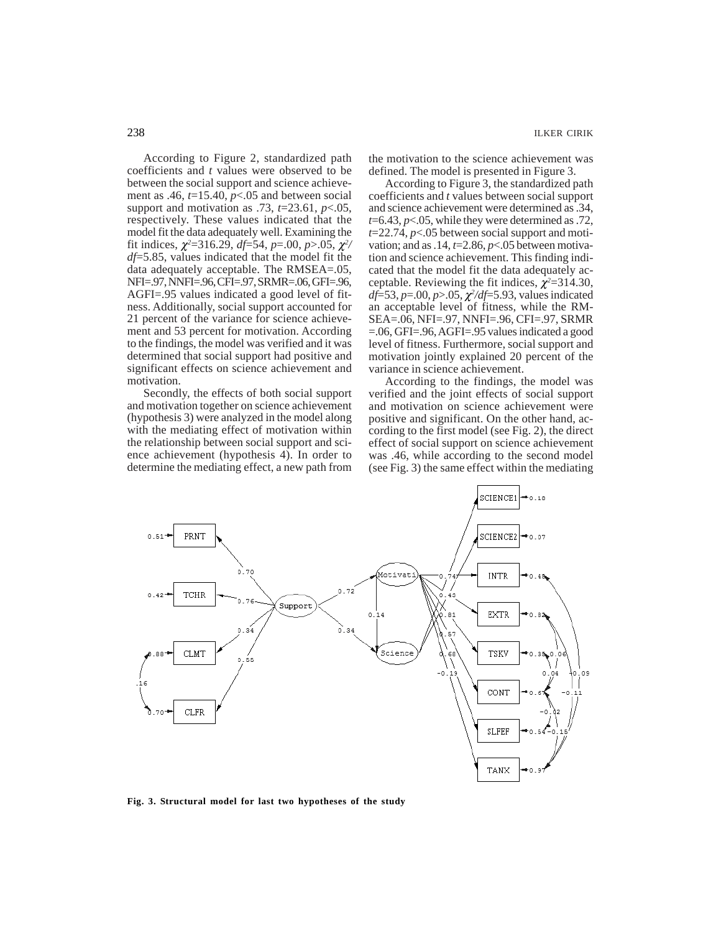According to Figure 2, standardized path coefficients and *t* values were observed to be between the social support and science achievement as .46,  $t=15.40$ ,  $p<.05$  and between social support and motivation as .73, *t*=23.61, *p*<.05, respectively. These values indicated that the model fit the data adequately well. Examining the fit indices,  $\chi^2$ =316.29, *df*=54, *p*=.00, *p*>.05,  $\chi^2$ / *df*=5.85, values indicated that the model fit the data adequately acceptable. The RMSEA=.05, NFI=.97, NNFI=.96, CFI=.97, SRMR=.06, GFI=.96, AGFI=.95 values indicated a good level of fitness. Additionally, social support accounted for 21 percent of the variance for science achievement and 53 percent for motivation. According to the findings, the model was verified and it was determined that social support had positive and significant effects on science achievement and motivation.

Secondly, the effects of both social support and motivation together on science achievement (hypothesis 3) were analyzed in the model along with the mediating effect of motivation within the relationship between social support and science achievement (hypothesis 4). In order to determine the mediating effect, a new path from

the motivation to the science achievement was defined. The model is presented in Figure 3.

According to Figure 3, the standardized path coefficients and *t* values between social support and science achievement were determined as .34, *t*=6.43, *p*<.05, while they were determined as .72, *t*=22.74, *p*<.05 between social support and motivation; and as .14, *t*=2.86, *p*<.05 between motivation and science achievement. This finding indicated that the model fit the data adequately acceptable. Reviewing the fit indices,  $\chi^2$ =314.30, *df*=53, *p*=.00, *p*>.05, χ*<sup>2</sup> /df*=5.93, values indicated an acceptable level of fitness, while the RM-SEA=.06, NFI=.97, NNFI=.96, CFI=.97, SRMR =.06, GFI=.96, AGFI=.95 values indicated a good level of fitness. Furthermore, social support and motivation jointly explained 20 percent of the variance in science achievement.

According to the findings, the model was verified and the joint effects of social support and motivation on science achievement were positive and significant. On the other hand, according to the first model (see Fig. 2), the direct effect of social support on science achievement was .46, while according to the second model (see Fig. 3) the same effect within the mediating



238 ILKER CIRIK

**Fig. 3. Structural model for last two hypotheses of the study**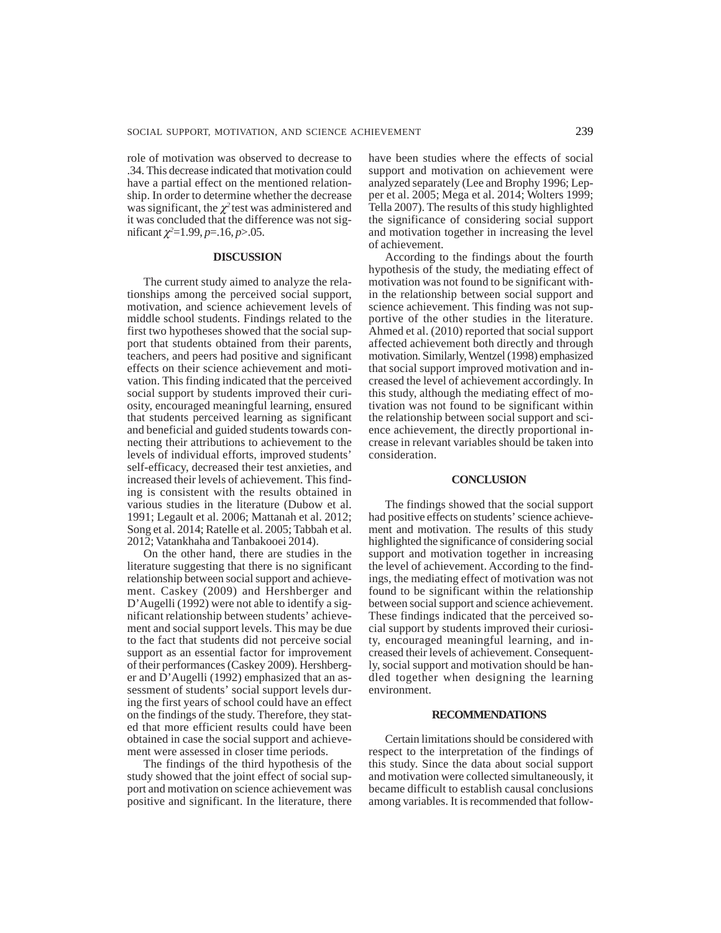role of motivation was observed to decrease to .34. This decrease indicated that motivation could have a partial effect on the mentioned relationship. In order to determine whether the decrease was significant, the  $\chi^2$  test was administered and it was concluded that the difference was not significant  $\chi^2$ =1.99, *p*=.16, *p*>.05.

#### **DISCUSSION**

The current study aimed to analyze the relationships among the perceived social support, motivation, and science achievement levels of middle school students. Findings related to the first two hypotheses showed that the social support that students obtained from their parents, teachers, and peers had positive and significant effects on their science achievement and motivation. This finding indicated that the perceived social support by students improved their curiosity, encouraged meaningful learning, ensured that students perceived learning as significant and beneficial and guided students towards connecting their attributions to achievement to the levels of individual efforts, improved students' self-efficacy, decreased their test anxieties, and increased their levels of achievement. This finding is consistent with the results obtained in various studies in the literature (Dubow et al. 1991; Legault et al. 2006; Mattanah et al. 2012; Song et al. 2014; Ratelle et al. 2005; Tabbah et al. 2012; Vatankhaha and Tanbakooei 2014).

On the other hand, there are studies in the literature suggesting that there is no significant relationship between social support and achievement. Caskey (2009) and Hershberger and D'Augelli (1992) were not able to identify a significant relationship between students' achievement and social support levels. This may be due to the fact that students did not perceive social support as an essential factor for improvement of their performances (Caskey 2009). Hershberger and D'Augelli (1992) emphasized that an assessment of students' social support levels during the first years of school could have an effect on the findings of the study. Therefore, they stated that more efficient results could have been obtained in case the social support and achievement were assessed in closer time periods.

The findings of the third hypothesis of the study showed that the joint effect of social support and motivation on science achievement was positive and significant. In the literature, there

have been studies where the effects of social support and motivation on achievement were analyzed separately (Lee and Brophy 1996; Lepper et al. 2005; Mega et al. 2014; Wolters 1999; Tella 2007). The results of this study highlighted the significance of considering social support and motivation together in increasing the level of achievement.

According to the findings about the fourth hypothesis of the study, the mediating effect of motivation was not found to be significant within the relationship between social support and science achievement. This finding was not supportive of the other studies in the literature. Ahmed et al. (2010) reported that social support affected achievement both directly and through motivation. Similarly, Wentzel (1998) emphasized that social support improved motivation and increased the level of achievement accordingly. In this study, although the mediating effect of motivation was not found to be significant within the relationship between social support and science achievement, the directly proportional increase in relevant variables should be taken into consideration.

### **CONCLUSION**

The findings showed that the social support had positive effects on students' science achievement and motivation. The results of this study highlighted the significance of considering social support and motivation together in increasing the level of achievement. According to the findings, the mediating effect of motivation was not found to be significant within the relationship between social support and science achievement. These findings indicated that the perceived social support by students improved their curiosity, encouraged meaningful learning, and increased their levels of achievement. Consequently, social support and motivation should be handled together when designing the learning environment.

#### **RECOMMENDATIONS**

Certain limitations should be considered with respect to the interpretation of the findings of this study. Since the data about social support and motivation were collected simultaneously, it became difficult to establish causal conclusions among variables. It is recommended that follow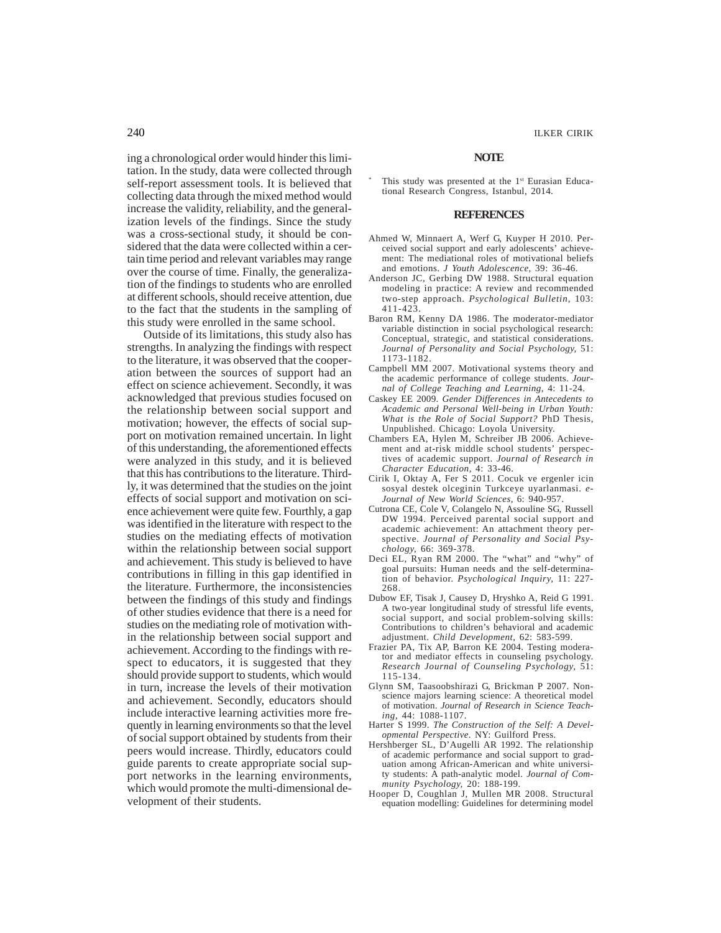ing a chronological order would hinder this limitation. In the study, data were collected through self-report assessment tools. It is believed that collecting data through the mixed method would increase the validity, reliability, and the generalization levels of the findings. Since the study was a cross-sectional study, it should be considered that the data were collected within a certain time period and relevant variables may range

over the course of time. Finally, the generalization of the findings to students who are enrolled at different schools, should receive attention, due to the fact that the students in the sampling of this study were enrolled in the same school.

Outside of its limitations, this study also has strengths. In analyzing the findings with respect to the literature, it was observed that the cooperation between the sources of support had an effect on science achievement. Secondly, it was acknowledged that previous studies focused on the relationship between social support and motivation; however, the effects of social support on motivation remained uncertain. In light of this understanding, the aforementioned effects were analyzed in this study, and it is believed that this has contributions to the literature. Thirdly, it was determined that the studies on the joint effects of social support and motivation on science achievement were quite few. Fourthly, a gap was identified in the literature with respect to the studies on the mediating effects of motivation within the relationship between social support and achievement. This study is believed to have contributions in filling in this gap identified in the literature. Furthermore, the inconsistencies between the findings of this study and findings of other studies evidence that there is a need for studies on the mediating role of motivation within the relationship between social support and achievement. According to the findings with respect to educators, it is suggested that they should provide support to students, which would in turn, increase the levels of their motivation and achievement. Secondly, educators should include interactive learning activities more frequently in learning environments so that the level of social support obtained by students from their peers would increase. Thirdly, educators could guide parents to create appropriate social support networks in the learning environments, which would promote the multi-dimensional development of their students.

#### **NOTE**

This study was presented at the 1st Eurasian Educational Research Congress, Istanbul, 2014.

#### **REFERENCES**

- Ahmed W, Minnaert A, Werf G, Kuyper H 2010. Perceived social support and early adolescents' achievement: The mediational roles of motivational beliefs and emotions. *J Youth Adolescence*, 39: 36-46.
- Anderson JC, Gerbing DW 1988. Structural equation modeling in practice: A review and recommended two-step approach. *Psychological Bulletin,* 103: 411-423.
- Baron RM, Kenny DA 1986. The moderator-mediator variable distinction in social psychological research: Conceptual, strategic, and statistical considerations. *Journal of Personality and Social Psychology,* 51: 1173-1182.
- Campbell MM 2007. Motivational systems theory and the academic performance of college students. *Journal of College Teaching and Learning*, 4: 11-24.
- Caskey EE 2009. *Gender Differences in Antecedents to Academic and Personal Well-being in Urban Youth: What is the Role of Social Support?* PhD Thesis, Unpublished. Chicago: Loyola University.
- Chambers EA, Hylen M, Schreiber JB 2006. Achievement and at-risk middle school students' perspectives of academic support. *Journal of Research in Character Education,* 4: 33-46.
- Cirik I, Oktay A, Fer S 2011. Cocuk ve ergenler icin sosyal destek olceginin Turkceye uyarlanmasi. *e-Journal of New World Sciences,* 6: 940-957.
- Cutrona CE, Cole V, Colangelo N, Assouline SG, Russell DW 1994. Perceived parental social support and academic achievement: An attachment theory perspective. *Journal of Personality and Social Psychology,* 66: 369-378.
- Deci EL, Ryan RM 2000. The "what" and "why" of goal pursuits: Human needs and the self-determination of behavior. *Psychological Inquiry,* 11: 227- 268.
- Dubow EF, Tisak J, Causey D, Hryshko A, Reid G 1991. A two-year longitudinal study of stressful life events, social support, and social problem-solving skills: Contributions to children's behavioral and academic adjustment. *Child Development,* 62: 583-599.
- Frazier PA, Tix AP, Barron KE 2004. Testing moderator and mediator effects in counseling psychology. *Research Journal of Counseling Psychology,* 51: 115-134.
- Glynn SM, Taasoobshirazi G, Brickman P 2007. Nonscience majors learning science: A theoretical model of motivation. *Journal of Research in Science Teaching,* 44: 1088-1107.
- Harter S 1999. *The Construction of the Self: A Developmental Perspective*. NY: Guilford Press.
- Hershberger SL, D'Augelli AR 1992. The relationship of academic performance and social support to graduation among African-American and white university students: A path-analytic model. *Journal of Community Psychology,* 20: 188-199.
- Hooper D, Coughlan J, Mullen MR 2008. Structural equation modelling: Guidelines for determining model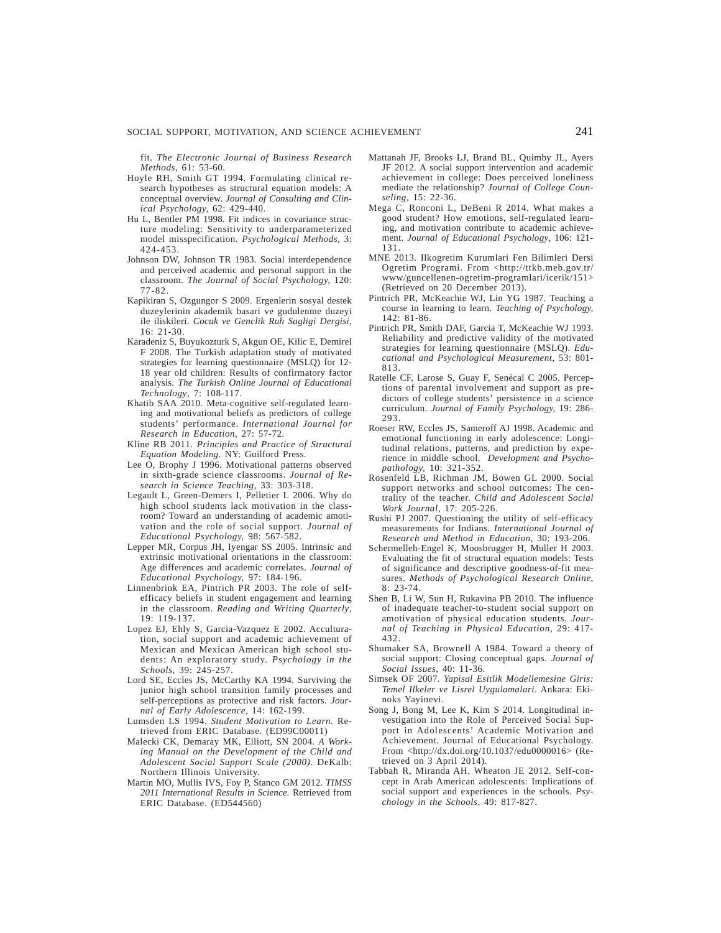fit. *The Electronic Journal of Business Research Methods,* 61: 53-60.

- Hoyle RH, Smith GT 1994. Formulating clinical research hypotheses as structural equation models: A conceptual overview. *Journal of Consulting and Clinical Psychology,* 62: 429-440.
- Hu L, Bentler PM 1998. Fit indices in covariance structure modeling: Sensitivity to underparameterized model misspecification. *Psychological Methods,* 3: 424-453.
- Johnson DW, Johnson TR 1983. Social interdependence and perceived academic and personal support in the classroom. *The Journal of Social Psychology,* 120: 77-82.
- Kapikiran S, Ozgungor S 2009. Ergenlerin sosyal destek duzeylerinin akademik basari ve gudulenme duzeyi ile iliskileri. *Cocuk ve Genclik Ruh Sagligi Dergisi*, 16: 21-30.
- Karadeniz S, Buyukozturk S, Akgun OE, Kilic E, Demirel F 2008. The Turkish adaptation study of motivated strategies for learning questionnaire (MSLQ) for 12- 18 year old children: Results of confirmatory factor analysis. *The Turkish Online Journal of Educational Technology*, 7: 108-117.
- Khatib SAA 2010. Meta-cognitive self-regulated learning and motivational beliefs as predictors of college students' performance. *International Journal for Research in Education*, 27: 57-72.
- Kline RB 2011. *Principles and Practice of Structural Equation Modeling.* NY: Guilford Press.
- Lee O, Brophy J 1996. Motivational patterns observed in sixth-grade science classrooms. *Journal of Research in Science Teaching,* 33: 303-318.
- Legault L, Green-Demers I, Pelletier L 2006. Why do high school students lack motivation in the classroom? Toward an understanding of academic amotivation and the role of social support. *Journal of Educational Psychology,* 98: 567-582.
- Lepper MR, Corpus JH, Iyengar SS 2005. Intrinsic and extrinsic motivational orientations in the classroom: Age differences and academic correlates. *Journal of Educational Psychology,* 97: 184-196.
- Linnenbrink EA, Pintrich PR 2003. The role of selfefficacy beliefs in student engagement and learning in the classroom. *Reading and Writing Quarterly*, 19: 119-137.
- Lopez EJ, Ehly S, Garcia-Vazquez E 2002. Acculturation, social support and academic achievement of Mexican and Mexican American high school students: An exploratory study. *Psychology in the Schools*, 39: 245-257.
- Lord SE, Eccles JS, McCarthy KA 1994. Surviving the junior high school transition family processes and self-perceptions as protective and risk factors. *Journal of Early Adolescence,* 14: 162-199.
- Lumsden LS 1994. *Student Motivation to Learn.* Retrieved from ERIC Database. (ED99C00011)
- Malecki CK, Demaray MK, Elliott, SN 2004. *A Working Manual on the Development of the Child and Adolescent Social Support Scale (2000)*. DeKalb: Northern Illinois University.
- Martin MO, Mullis IVS, Foy P, Stanco GM 2012. *TIMSS 2011 International Results in Science.* Retrieved from ERIC Database. (ED544560)
- Mattanah JF, Brooks LJ, Brand BL, Quimby JL, Ayers JF 2012. A social support intervention and academic achievement in college: Does perceived loneliness mediate the relationship? *Journal of College Counseling,* 15: 22-36.
- Mega C, Ronconi L, DeBeni R 2014. What makes a good student? How emotions, self-regulated learning, and motivation contribute to academic achievement. *Journal of Educational Psychology*, 106: 121- 131.
- MNE 2013. Ilkogretim Kurumlari Fen Bilimleri Dersi Ogretim Programi. From <http://ttkb.meb.gov.tr/ www/guncellenen-ogretim-programlari/icerik/151> (Retrieved on 20 December 2013).
- Pintrich PR, McKeachie WJ, Lin YG 1987. Teaching a course in learning to learn. *Teaching of Psychology,* 142: 81-86.
- Pintrich PR, Smith DAF, Garcia T, McKeachie WJ 1993. Reliability and predictive validity of the motivated strategies for learning questionnaire (MSLQ). *Educational and Psychological Measurement,* 53: 801- 813.
- Ratelle CF, Larose S, Guay F, Senécal C 2005. Perceptions of parental involvement and support as predictors of college students' persistence in a science curriculum. *Journal of Family Psychology,* 19: 286- 293.
- Roeser RW, Eccles JS, Sameroff AJ 1998. Academic and emotional functioning in early adolescence: Longitudinal relations, patterns, and prediction by experience in middle school. *Development and Psychopathology,* 10: 321-352.
- Rosenfeld LB, Richman JM, Bowen GL 2000. Social support networks and school outcomes: The centrality of the teacher. *Child and Adolescent Social Work Journal,* 17: 205-226.
- Rushi PJ 2007. Questioning the utility of self-efficacy measurements for Indians. *International Journal of Research and Method in Education,* 30: 193-206.
- Schermelleh-Engel K, Moosbrugger H, Muller H 2003. Evaluating the fit of structural equation models: Tests of significance and descriptive goodness-of-fit measures. *Methods of Psychological Research Online*, 8: 23-74.
- Shen B, Li W, Sun H, Rukavina PB 2010. The influence of inadequate teacher-to-student social support on amotivation of physical education students. *Journal of Teaching in Physical Education,* 29: 417- 432.
- Shumaker SA, Brownell A 1984. Toward a theory of social support: Closing conceptual gaps. *Journal of Social Issues,* 40: 11-36.
- Simsek OF 2007. *Yapisal Esitlik Modellemesine Giris: Temel Ilkeler ve Lisrel Uygulamalari*. Ankara: Ekinoks Yayinevi.
- Song J, Bong M, Lee K, Kim S 2014. Longitudinal investigation into the Role of Perceived Social Support in Adolescents' Academic Motivation and Achievement. Journal of Educational Psychology. From <http://dx.doi.org/10.1037/edu0000016> (Retrieved on 3 April 2014).
- Tabbah R, Miranda AH, Wheaton JE 2012. Self-concept in Arab American adolescents: Implications of social support and experiences in the schools. *Psychology in the Schools,* 49: 817-827.